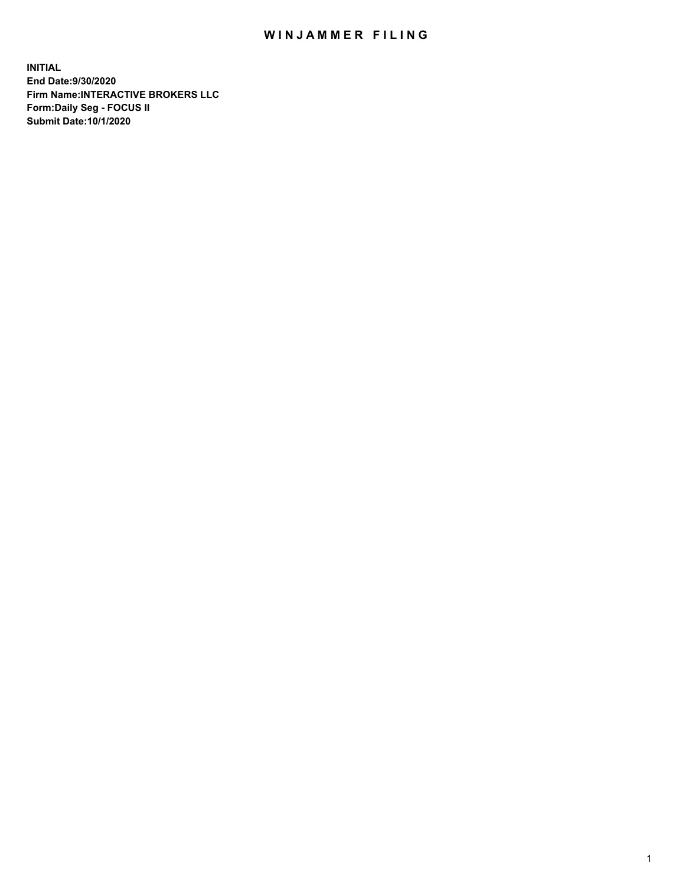## WIN JAMMER FILING

**INITIAL End Date:9/30/2020 Firm Name:INTERACTIVE BROKERS LLC Form:Daily Seg - FOCUS II Submit Date:10/1/2020**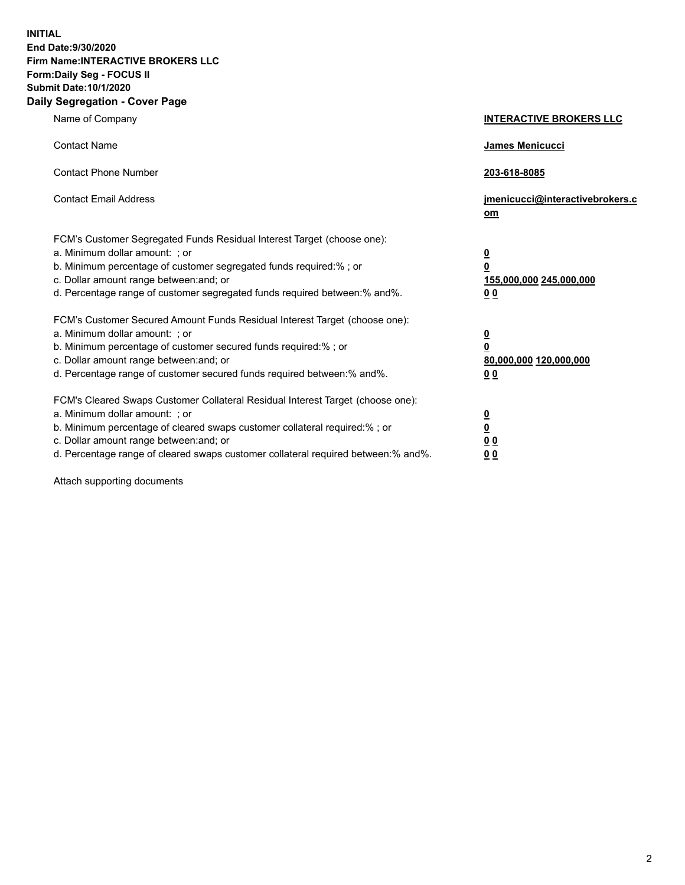**INITIAL End Date:9/30/2020 Firm Name:INTERACTIVE BROKERS LLC Form:Daily Seg - FOCUS II Submit Date:10/1/2020 Daily Segregation - Cover Page**

| Name of Company                                                                                                                                                                                                                                                                                                                | <b>INTERACTIVE BROKERS LLC</b>                                                   |
|--------------------------------------------------------------------------------------------------------------------------------------------------------------------------------------------------------------------------------------------------------------------------------------------------------------------------------|----------------------------------------------------------------------------------|
| <b>Contact Name</b>                                                                                                                                                                                                                                                                                                            | James Menicucci                                                                  |
| <b>Contact Phone Number</b>                                                                                                                                                                                                                                                                                                    | 203-618-8085                                                                     |
| <b>Contact Email Address</b>                                                                                                                                                                                                                                                                                                   | jmenicucci@interactivebrokers.c<br>om                                            |
| FCM's Customer Segregated Funds Residual Interest Target (choose one):<br>a. Minimum dollar amount: ; or<br>b. Minimum percentage of customer segregated funds required:% ; or<br>c. Dollar amount range between: and; or<br>d. Percentage range of customer segregated funds required between:% and%.                         | <u>0</u><br>$\overline{\mathbf{0}}$<br>155,000,000 245,000,000<br>0 <sub>0</sub> |
| FCM's Customer Secured Amount Funds Residual Interest Target (choose one):<br>a. Minimum dollar amount: ; or<br>b. Minimum percentage of customer secured funds required:% ; or<br>c. Dollar amount range between: and; or<br>d. Percentage range of customer secured funds required between:% and%.                           | <u>0</u><br>$\overline{\mathbf{0}}$<br>80,000,000 120,000,000<br>0 <sub>0</sub>  |
| FCM's Cleared Swaps Customer Collateral Residual Interest Target (choose one):<br>a. Minimum dollar amount: ; or<br>b. Minimum percentage of cleared swaps customer collateral required:% ; or<br>c. Dollar amount range between: and; or<br>d. Percentage range of cleared swaps customer collateral required between:% and%. | <u>0</u><br>$\underline{\mathbf{0}}$<br>0 <sub>0</sub><br>0 <sub>0</sub>         |

Attach supporting documents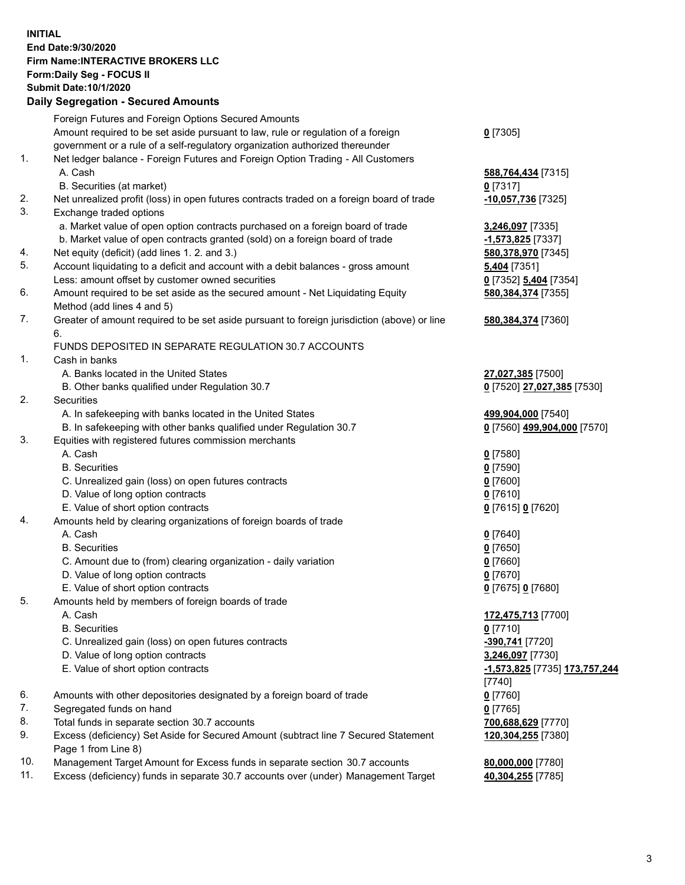**INITIAL End Date:9/30/2020 Firm Name:INTERACTIVE BROKERS LLC Form:Daily Seg - FOCUS II Submit Date:10/1/2020 Daily Segregation - Secured Amounts**

|     | Dany Segregation - Secured Amounts                                                          |                                      |
|-----|---------------------------------------------------------------------------------------------|--------------------------------------|
|     | Foreign Futures and Foreign Options Secured Amounts                                         |                                      |
|     | Amount required to be set aside pursuant to law, rule or regulation of a foreign            | $0$ [7305]                           |
|     | government or a rule of a self-regulatory organization authorized thereunder                |                                      |
| 1.  | Net ledger balance - Foreign Futures and Foreign Option Trading - All Customers             |                                      |
|     | A. Cash                                                                                     | 588,764,434 [7315]                   |
|     | B. Securities (at market)                                                                   | $0$ [7317]                           |
| 2.  | Net unrealized profit (loss) in open futures contracts traded on a foreign board of trade   | -10,057,736 [7325]                   |
| 3.  | Exchange traded options                                                                     |                                      |
|     | a. Market value of open option contracts purchased on a foreign board of trade              | 3,246,097 [7335]                     |
|     | b. Market value of open contracts granted (sold) on a foreign board of trade                | $-1,573,825$ [7337]                  |
| 4.  | Net equity (deficit) (add lines 1. 2. and 3.)                                               | 580,378,970 [7345]                   |
| 5.  | Account liquidating to a deficit and account with a debit balances - gross amount           | 5,404 [7351]                         |
|     | Less: amount offset by customer owned securities                                            | 0 [7352] 5,404 [7354]                |
| 6.  |                                                                                             |                                      |
|     | Amount required to be set aside as the secured amount - Net Liquidating Equity              | 580, 384, 374 [7355]                 |
|     | Method (add lines 4 and 5)                                                                  |                                      |
| 7.  | Greater of amount required to be set aside pursuant to foreign jurisdiction (above) or line | 580, 384, 374 [7360]                 |
|     | 6.                                                                                          |                                      |
|     | FUNDS DEPOSITED IN SEPARATE REGULATION 30.7 ACCOUNTS                                        |                                      |
| 1.  | Cash in banks                                                                               |                                      |
|     | A. Banks located in the United States                                                       | 27,027,385 [7500]                    |
|     | B. Other banks qualified under Regulation 30.7                                              | 0 [7520] 27,027,385 [7530]           |
| 2.  | Securities                                                                                  |                                      |
|     | A. In safekeeping with banks located in the United States                                   | 499,904,000 [7540]                   |
|     | B. In safekeeping with other banks qualified under Regulation 30.7                          | 0 [7560] 499,904,000 [7570]          |
| 3.  | Equities with registered futures commission merchants                                       |                                      |
|     | A. Cash                                                                                     | $0$ [7580]                           |
|     | <b>B.</b> Securities                                                                        | $0$ [7590]                           |
|     | C. Unrealized gain (loss) on open futures contracts                                         | $0$ [7600]                           |
|     | D. Value of long option contracts                                                           | $0$ [7610]                           |
|     | E. Value of short option contracts                                                          | 0 [7615] 0 [7620]                    |
| 4.  | Amounts held by clearing organizations of foreign boards of trade                           |                                      |
|     | A. Cash                                                                                     | $0$ [7640]                           |
|     | <b>B.</b> Securities                                                                        | $0$ [7650]                           |
|     | C. Amount due to (from) clearing organization - daily variation                             | $0$ [7660]                           |
|     | D. Value of long option contracts                                                           | $0$ [7670]                           |
|     | E. Value of short option contracts                                                          | 0 [7675] 0 [7680]                    |
| 5.  | Amounts held by members of foreign boards of trade                                          |                                      |
|     | A. Cash                                                                                     | 172,475,713 [7700]                   |
|     | <b>B.</b> Securities                                                                        | $0$ [7710]                           |
|     | C. Unrealized gain (loss) on open futures contracts                                         | -390,741 [7720]                      |
|     | D. Value of long option contracts                                                           | 3,246,097 [7730]                     |
|     | E. Value of short option contracts                                                          | <u>-1,573,825</u> [7735] 173,757,244 |
|     |                                                                                             | $[7740]$                             |
| 6.  | Amounts with other depositories designated by a foreign board of trade                      | $0$ [7760]                           |
| 7.  | Segregated funds on hand                                                                    | $0$ [7765]                           |
| 8.  | Total funds in separate section 30.7 accounts                                               | 700,688,629 [7770]                   |
| 9.  | Excess (deficiency) Set Aside for Secured Amount (subtract line 7 Secured Statement         | 120,304,255 [7380]                   |
|     | Page 1 from Line 8)                                                                         |                                      |
| 10. | Management Target Amount for Excess funds in separate section 30.7 accounts                 | 80,000,000 [7780]                    |
| 11. | Excess (deficiency) funds in separate 30.7 accounts over (under) Management Target          |                                      |
|     |                                                                                             | 40,304,255 [7785]                    |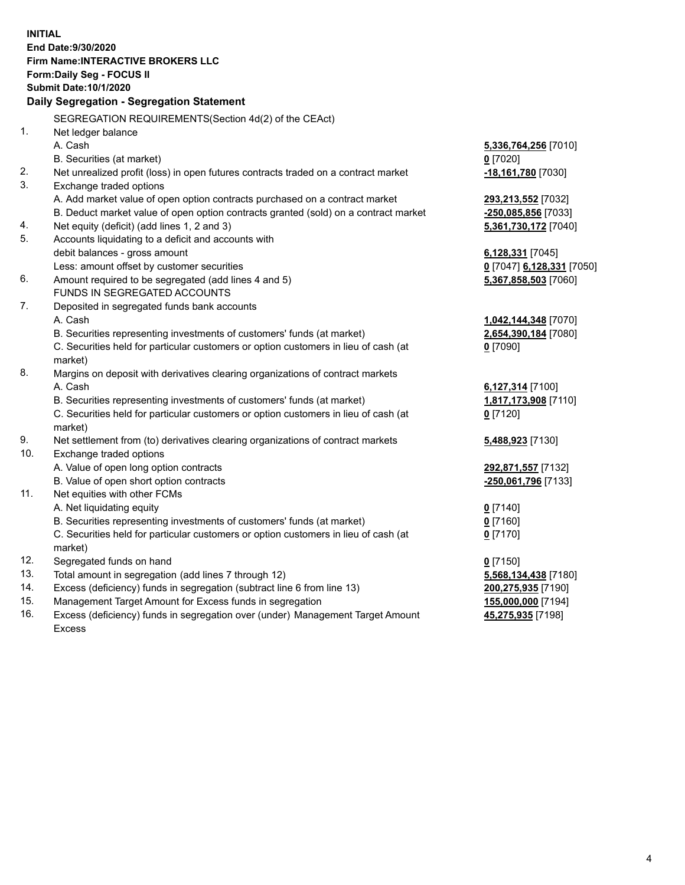**INITIAL End Date:9/30/2020 Firm Name:INTERACTIVE BROKERS LLC Form:Daily Seg - FOCUS II Submit Date:10/1/2020 Daily Segregation - Segregation Statement** SEGREGATION REQUIREMENTS(Section 4d(2) of the CEAct) 1. Net ledger balance A. Cash **5,336,764,256** [7010] B. Securities (at market) **0** [7020] 2. Net unrealized profit (loss) in open futures contracts traded on a contract market **-18,161,780** [7030] 3. Exchange traded options A. Add market value of open option contracts purchased on a contract market **293,213,552** [7032] B. Deduct market value of open option contracts granted (sold) on a contract market **-250,085,856** [7033] 4. Net equity (deficit) (add lines 1, 2 and 3) **5,361,730,172** [7040] 5. Accounts liquidating to a deficit and accounts with debit balances - gross amount **6,128,331** [7045] Less: amount offset by customer securities **0** [7047] **6,128,331** [7050] 6. Amount required to be segregated (add lines 4 and 5) **5,367,858,503** [7060] FUNDS IN SEGREGATED ACCOUNTS 7. Deposited in segregated funds bank accounts A. Cash **1,042,144,348** [7070] B. Securities representing investments of customers' funds (at market) **2,654,390,184** [7080] C. Securities held for particular customers or option customers in lieu of cash (at market) **0** [7090] 8. Margins on deposit with derivatives clearing organizations of contract markets A. Cash **6,127,314** [7100] B. Securities representing investments of customers' funds (at market) **1,817,173,908** [7110] C. Securities held for particular customers or option customers in lieu of cash (at market) **0** [7120] 9. Net settlement from (to) derivatives clearing organizations of contract markets **5,488,923** [7130] 10. Exchange traded options A. Value of open long option contracts **292,871,557** [7132] B. Value of open short option contracts **-250,061,796** [7133] 11. Net equities with other FCMs A. Net liquidating equity **0** [7140] B. Securities representing investments of customers' funds (at market) **0** [7160] C. Securities held for particular customers or option customers in lieu of cash (at market) **0** [7170] 12. Segregated funds on hand **0** [7150] 13. Total amount in segregation (add lines 7 through 12) **5,568,134,438** [7180] 14. Excess (deficiency) funds in segregation (subtract line 6 from line 13) **200,275,935** [7190] 15. Management Target Amount for Excess funds in segregation **155,000,000** [7194]

16. Excess (deficiency) funds in segregation over (under) Management Target Amount Excess

**45,275,935** [7198]